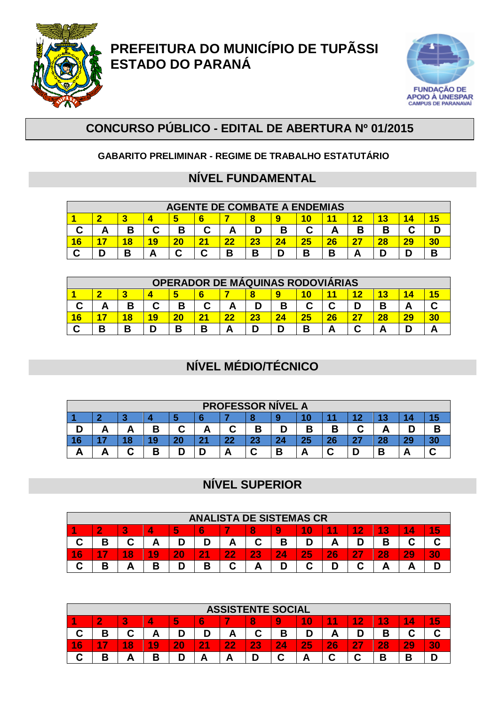

**PREFEITURA DO MUNICÍPIO DE TUPÃSSI ESTADO DO PARANÁ** 



## **CONCURSO PÚBLICO - EDITAL DE ABERTURA Nº 01/2015**

#### **GABARITO PRELIMINAR - REGIME DE TRABALHO ESTATUTÁRIO**

### **NÍVEL FUNDAMENTAL**

|    |                                                 |    |    |    |              | <b>AGENTE DE COMBATE A ENDEMIAS</b> |    |    |    |    |    |    |    |   |  |
|----|-------------------------------------------------|----|----|----|--------------|-------------------------------------|----|----|----|----|----|----|----|---|--|
|    | 40                                              |    |    |    |              |                                     |    |    |    |    |    |    |    |   |  |
|    | В<br>Β<br>◠<br>В<br>В<br>В<br>А<br>u<br>́г<br>r |    |    |    |              |                                     |    |    |    |    |    |    |    |   |  |
| 16 |                                                 | 18 | 19 | 20 | $2^{\prime}$ | 22                                  | 23 | 24 | 25 | 26 | 27 | 28 | 29 |   |  |
|    |                                                 | В  |    | ⌒  | ◠            | В                                   | В  | D  | В  | В  |    |    | n  | n |  |

|    |                                                                  |    |    |    |                | OPERADOR DE MÁQUINAS RODOVIARIAS |    |    |    |    |    |    |    |  |  |
|----|------------------------------------------------------------------|----|----|----|----------------|----------------------------------|----|----|----|----|----|----|----|--|--|
|    |                                                                  |    |    |    |                |                                  |    |    | 10 |    |    |    |    |  |  |
| u  | В<br>В<br>В<br>◠<br>C<br>С<br>Β<br>А<br>$\overline{\phantom{a}}$ |    |    |    |                |                                  |    |    |    |    |    |    |    |  |  |
| 16 |                                                                  | 18 | 19 | 20 | 2 <sup>1</sup> |                                  | 23 | 24 | 25 | 26 | דר | 28 | 29 |  |  |
|    | D                                                                | В  |    |    | D              |                                  |    |    | В  |    | ⌒  |    |    |  |  |

# **NÍVEL MÉDIO/TÉCNICO**

|    |                                                                |    |    |    |   |    |          | <b>PROFESSOR NÍVEL A</b> |    |    |           |    |           |  |  |
|----|----------------------------------------------------------------|----|----|----|---|----|----------|--------------------------|----|----|-----------|----|-----------|--|--|
|    |                                                                |    |    |    |   |    |          |                          |    |    |           |    |           |  |  |
|    | ⌒<br>⌒<br>D<br>В<br>В<br>R<br>n<br>в<br>◠<br>D<br>-<br>--<br>- |    |    |    |   |    |          |                          |    |    |           |    |           |  |  |
| 16 |                                                                | 18 | 19 | 20 | ີ | 22 | າາ<br>40 | 24                       | 25 | 26 | 27<br>. . | 28 | 20<br>- - |  |  |
|    |                                                                | ⌒  | Β  | D  |   |    | ⌒        | В                        |    |    |           |    | Ē         |  |  |

### **NÍVEL SUPERIOR**

|    |                                                              |   |    |    |               | <b>ANALISTA DE SISTEMAS CR</b> |    |    |              |    |    |    |    |    |  |
|----|--------------------------------------------------------------|---|----|----|---------------|--------------------------------|----|----|--------------|----|----|----|----|----|--|
|    | 4.0<br>15<br>1<br>1<br>10<br>ా<br>и<br>5<br>8<br>6<br>9<br>4 |   |    |    |               |                                |    |    |              |    |    |    |    |    |  |
|    | В                                                            | ⌒ | А  |    |               | А                              | С  | в  |              | Α  |    | Β  |    |    |  |
| 16 | 7                                                            | 8 | 19 | 20 | $\mathbf{21}$ | 22<br>. .                      | 23 | 24 | 25           | 26 | 27 | 28 | 29 | 30 |  |
|    | В                                                            |   | Β  |    | Β             | С                              |    |    | $\mathbf{C}$ | D  |    |    |    |    |  |

|        |                                                                                                                 |        |                     |    |    | <b>ASSISTENTE SOCIAL</b> |    |    |    |    |        |        |    |    |  |
|--------|-----------------------------------------------------------------------------------------------------------------|--------|---------------------|----|----|--------------------------|----|----|----|----|--------|--------|----|----|--|
|        | 5<br>4<br>5<br>$\overline{6}$<br>1<br>3<br>4<br>$\bf{0}$<br>8<br>Æ<br>$\sim$<br>4<br>2<br>9<br>и<br>4<br>D<br>÷ |        |                     |    |    |                          |    |    |    |    |        |        |    |    |  |
| احته   | В<br>D<br>⌒<br>D<br>в<br>~<br>А<br>A<br>в<br>D<br><b>U</b><br>r                                                 |        |                     |    |    |                          |    |    |    |    |        |        |    |    |  |
| 6<br>4 | - 7                                                                                                             | 8<br>и | $\overline{9}$<br>и | 20 | 21 | 22                       | 23 | 24 | 25 | 26 | 47     | 28     | 29 | 30 |  |
| ⌒      | D<br>-                                                                                                          | --     | D<br>D              | D  |    | A                        |    |    |    | ⌒  | ⌒<br>◡ | D<br>Б | B  |    |  |